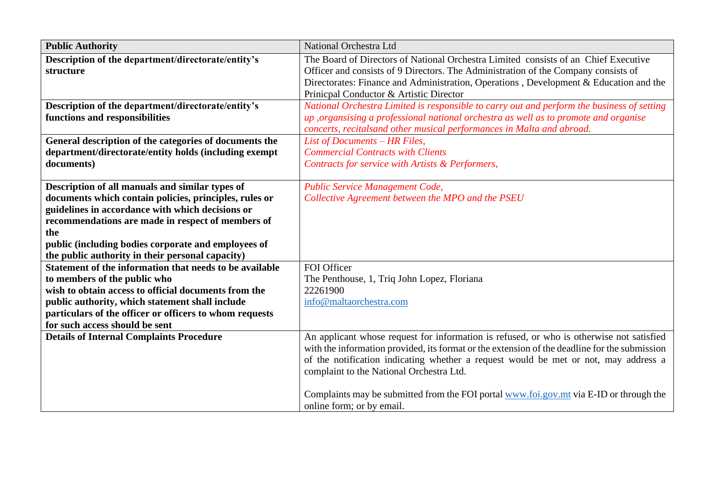| <b>Public Authority</b>                                 | <b>National Orchestra Ltd</b>                                                                 |
|---------------------------------------------------------|-----------------------------------------------------------------------------------------------|
| Description of the department/directorate/entity's      | The Board of Directors of National Orchestra Limited consists of an Chief Executive           |
| structure                                               | Officer and consists of 9 Directors. The Administration of the Company consists of            |
|                                                         | Directorates: Finance and Administration, Operations, Development & Education and the         |
|                                                         | Prinicpal Conductor & Artistic Director                                                       |
| Description of the department/directorate/entity's      | National Orchestra Limited is responsible to carry out and perform the business of setting    |
| functions and responsibilities                          | up , organsising a professional national orchestra as well as to promote and organise         |
|                                                         | concerts, recitalsand other musical performances in Malta and abroad.                         |
| General description of the categories of documents the  | List of Documents - HR Files,                                                                 |
| department/directorate/entity holds (including exempt   | <b>Commercial Contracts with Clients</b>                                                      |
| documents)                                              | Contracts for service with Artists & Performers,                                              |
|                                                         |                                                                                               |
| Description of all manuals and similar types of         | Public Service Management Code,                                                               |
| documents which contain policies, principles, rules or  | Collective Agreement between the MPO and the PSEU                                             |
| guidelines in accordance with which decisions or        |                                                                                               |
| recommendations are made in respect of members of       |                                                                                               |
| the                                                     |                                                                                               |
| public (including bodies corporate and employees of     |                                                                                               |
| the public authority in their personal capacity)        |                                                                                               |
| Statement of the information that needs to be available | FOI Officer                                                                                   |
| to members of the public who                            | The Penthouse, 1, Triq John Lopez, Floriana                                                   |
| wish to obtain access to official documents from the    | 22261900                                                                                      |
| public authority, which statement shall include         | info@maltaorchestra.com                                                                       |
| particulars of the officer or officers to whom requests |                                                                                               |
| for such access should be sent                          |                                                                                               |
| <b>Details of Internal Complaints Procedure</b>         | An applicant whose request for information is refused, or who is otherwise not satisfied      |
|                                                         | with the information provided, its format or the extension of the deadline for the submission |
|                                                         | of the notification indicating whether a request would be met or not, may address a           |
|                                                         | complaint to the National Orchestra Ltd.                                                      |
|                                                         |                                                                                               |
|                                                         | Complaints may be submitted from the FOI portal www.foi.gov.mt via E-ID or through the        |
|                                                         | online form; or by email.                                                                     |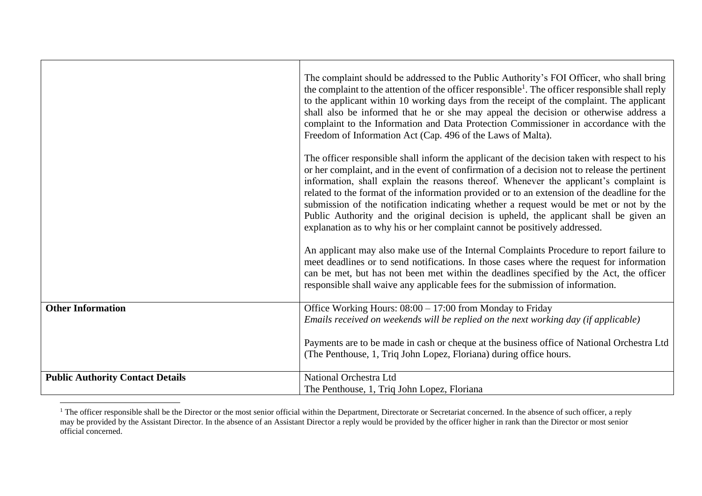|                                         | The complaint should be addressed to the Public Authority's FOI Officer, who shall bring<br>the complaint to the attention of the officer responsible <sup>1</sup> . The officer responsible shall reply<br>to the applicant within 10 working days from the receipt of the complaint. The applicant<br>shall also be informed that he or she may appeal the decision or otherwise address a<br>complaint to the Information and Data Protection Commissioner in accordance with the<br>Freedom of Information Act (Cap. 496 of the Laws of Malta).                                                                                                     |
|-----------------------------------------|---------------------------------------------------------------------------------------------------------------------------------------------------------------------------------------------------------------------------------------------------------------------------------------------------------------------------------------------------------------------------------------------------------------------------------------------------------------------------------------------------------------------------------------------------------------------------------------------------------------------------------------------------------|
|                                         | The officer responsible shall inform the applicant of the decision taken with respect to his<br>or her complaint, and in the event of confirmation of a decision not to release the pertinent<br>information, shall explain the reasons thereof. Whenever the applicant's complaint is<br>related to the format of the information provided or to an extension of the deadline for the<br>submission of the notification indicating whether a request would be met or not by the<br>Public Authority and the original decision is upheld, the applicant shall be given an<br>explanation as to why his or her complaint cannot be positively addressed. |
|                                         | An applicant may also make use of the Internal Complaints Procedure to report failure to<br>meet deadlines or to send notifications. In those cases where the request for information<br>can be met, but has not been met within the deadlines specified by the Act, the officer<br>responsible shall waive any applicable fees for the submission of information.                                                                                                                                                                                                                                                                                      |
| <b>Other Information</b>                | Office Working Hours: 08:00 – 17:00 from Monday to Friday                                                                                                                                                                                                                                                                                                                                                                                                                                                                                                                                                                                               |
|                                         | Emails received on weekends will be replied on the next working day (if applicable)                                                                                                                                                                                                                                                                                                                                                                                                                                                                                                                                                                     |
|                                         | Payments are to be made in cash or cheque at the business office of National Orchestra Ltd                                                                                                                                                                                                                                                                                                                                                                                                                                                                                                                                                              |
|                                         | (The Penthouse, 1, Triq John Lopez, Floriana) during office hours.                                                                                                                                                                                                                                                                                                                                                                                                                                                                                                                                                                                      |
| <b>Public Authority Contact Details</b> | National Orchestra Ltd                                                                                                                                                                                                                                                                                                                                                                                                                                                                                                                                                                                                                                  |
|                                         | The Penthouse, 1, Triq John Lopez, Floriana                                                                                                                                                                                                                                                                                                                                                                                                                                                                                                                                                                                                             |

<sup>&</sup>lt;sup>1</sup> The officer responsible shall be the Director or the most senior official within the Department, Directorate or Secretariat concerned. In the absence of such officer, a reply may be provided by the Assistant Director. In the absence of an Assistant Director a reply would be provided by the officer higher in rank than the Director or most senior official concerned.